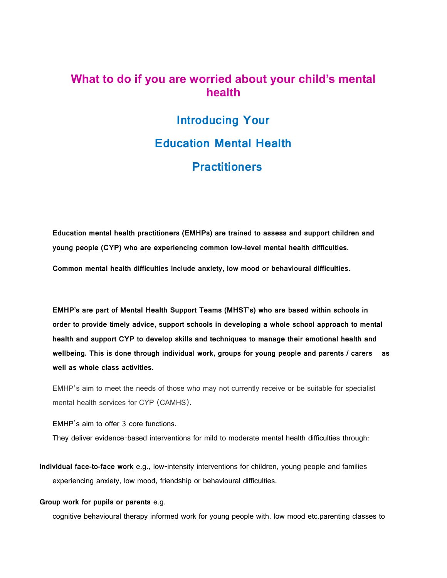### **What to do if you are worried about your child's mental health**

## **Introducing Your Education Mental Health Practitioners**

**Education mental health practitioners (EMHPs) are trained to assess and support children and young people (CYP) who are experiencing common low-level mental health difficulties.**

**Common mental health difficulties include anxiety, low mood or behavioural difficulties.** 

**EMHP's are part of Mental Health Support Teams (MHST's) who are based within schools in order to provide timely advice, support schools in developing a whole school approach to mental health and support CYP to develop skills and techniques to manage their emotional health and wellbeing. This is done through individual work, groups for young people and parents / carers as well as whole class activities.** 

EMHP's aim to meet the needs of those who may not currently receive or be suitable for specialist mental health services for CYP (CAMHS).

EMHP's aim to offer 3 core functions.

They deliver evidence-based interventions for mild to moderate mental health difficulties through:

**Individual face-to-face work** e.g., low-intensity interventions for children, young people and families experiencing anxiety, low mood, friendship or behavioural difficulties.

#### **Group work for pupils or parents** e.g.

cognitive behavioural therapy informed work for young people with, low mood etc.parenting classes to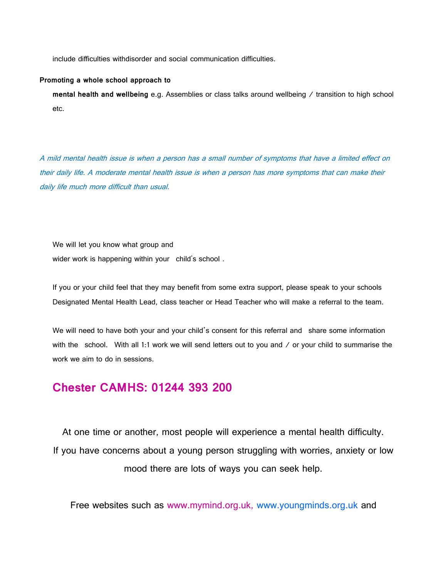include difficulties withdisorder and social communication difficulties.

#### **Promoting a whole school approach to**

**mental health and wellbeing** e.g. Assemblies or class talks around wellbeing / transition to high school etc.

A mild mental health issue is when a person has a small number of symptoms that have a limited effect on their daily life. A moderate mental health issue is when a person has more symptoms that can make their daily life much more difficult than usual.

We will let you know what group and wider work is happening within your child's school .

If you or your child feel that they may benefit from some extra support, please speak to your schools Designated Mental Health Lead, class teacher or Head Teacher who will make a referral to the team.

We will need to have both your and your child's consent for this referral and share some information with the school. With all 1:1 work we will send letters out to you and / or your child to summarise the work we aim to do in sessions.

## **Chester CAMHS: 01244 393 200**

At one time or another, most people will experience a mental health difficulty. If you have concerns about a young person struggling with worries, anxiety or low mood there are lots of ways you can seek help.

Free websites such as www.mymind.org.uk, www.youngminds.org.uk and